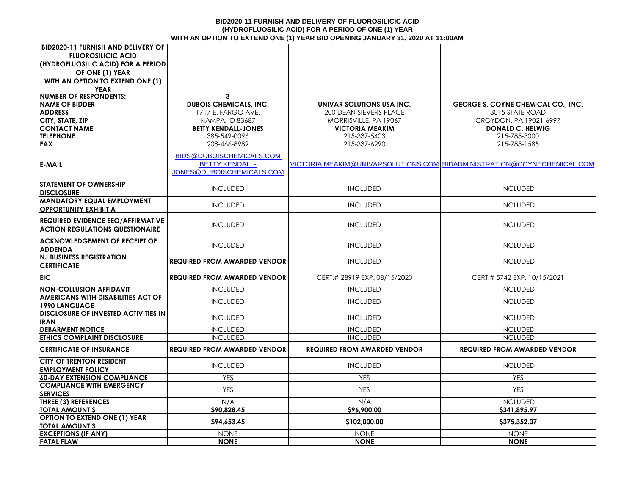#### **BID2020-11 FURNISH AND DELIVERY OF FLUOROSILICIC ACID (HYDROFLUOSILIC ACID) FOR A PERIOD OF ONE (1) YEAR WITH AN OPTION TO EXTEND ONE (1) YEAR BID OPENING JANUARY 31, 2020 AT 11:00AM**

| <b>BID2020-11 FURNISH AND DELIVERY OF</b>         |                                     |                                     |                                                                         |
|---------------------------------------------------|-------------------------------------|-------------------------------------|-------------------------------------------------------------------------|
| <b>FLUOROSILICIC ACID</b>                         |                                     |                                     |                                                                         |
| (HYDROFLUOSILIC ACID) FOR A PERIOD                |                                     |                                     |                                                                         |
| OF ONE (1) YEAR                                   |                                     |                                     |                                                                         |
| WITH AN OPTION TO EXTEND ONE (1)                  |                                     |                                     |                                                                         |
| <b>YEAR</b>                                       |                                     |                                     |                                                                         |
| <b>NUMBER OF RESPONDENTS:</b>                     | 3                                   |                                     |                                                                         |
| <b>NAME OF BIDDER</b>                             | <b>DUBOIS CHEMICALS, INC.</b>       | UNIVAR SOLUTIONS USA INC.           | <b>GEORGE S. COYNE CHEMICAL CO., INC.</b>                               |
| <b>ADDRESS</b>                                    | 1717 E. FARGO AVE.                  | 200 DEAN SIEVERS PLACE              | 3015 STATE ROAD                                                         |
| CITY, STATE, ZIP                                  | NAMPA, ID 83687                     | MORRISVILLE, PA 19067               | CROYDON, PA 19021-6997                                                  |
| <b>CONTACT NAME</b>                               | <b>BETTY KENDALL-JONES</b>          | <b>VICTORIA MEAKIM</b>              | <b>DONALD C. HELWIG</b>                                                 |
| <b>TELEPHONE</b>                                  | 385-549-0096                        | 215-337-5403                        | 215-785-3000                                                            |
| <b>FAX</b>                                        | 208-466-8989                        | 215-337-6290                        | 215-785-1585                                                            |
|                                                   | BIDS@DUBOISCHEMICALS.COM            |                                     |                                                                         |
| <b>E-MAIL</b>                                     | <b>BETTY.KENDALL-</b>               |                                     | VICTORIA.MEAKIM@UNIVARSOLUTIONS.COM│BIDADMINISTRATION@COYNECHEMICAL.COM |
|                                                   | JONES@DUBOISCHEMICALS.COM           |                                     |                                                                         |
|                                                   |                                     |                                     |                                                                         |
| <b>STATEMENT OF OWNERSHIP</b>                     | <b>INCLUDED</b>                     | <b>INCLUDED</b>                     | <b>INCLUDED</b>                                                         |
| <b>DISCLOSURE</b>                                 |                                     |                                     |                                                                         |
| <b>MANDATORY EQUAL EMPLOYMENT</b>                 | <b>INCLUDED</b>                     | <b>INCLUDED</b>                     | <b>INCLUDED</b>                                                         |
| <b>OPPORTUNITY EXHIBIT A</b>                      |                                     |                                     |                                                                         |
| REQUIRED EVIDENCE EEO/AFFIRMATIVE                 |                                     |                                     |                                                                         |
| <b>ACTION REGULATIONS QUESTIONAIRE</b>            | <b>INCLUDED</b>                     | <b>INCLUDED</b>                     | <b>INCLUDED</b>                                                         |
|                                                   |                                     |                                     |                                                                         |
| <b>ACKNOWLEDGEMENT OF RECEIPT OF</b>              | <b>INCLUDED</b>                     | <b>INCLUDED</b>                     | <b>INCLUDED</b>                                                         |
| <b>ADDENDA</b><br><b>NJ BUSINESS REGISTRATION</b> |                                     |                                     |                                                                         |
| <b>CERTIFICATE</b>                                | <b>REQUIRED FROM AWARDED VENDOR</b> | <b>INCLUDED</b>                     | <b>INCLUDED</b>                                                         |
|                                                   |                                     |                                     |                                                                         |
| <b>EIC</b>                                        | <b>REQUIRED FROM AWARDED VENDOR</b> | CERT.# 28919 EXP. 08/15/2020        | CERT.# 5742 EXP. 10/15/2021                                             |
| <b>NON-COLLUSION AFFIDAVIT</b>                    | <b>INCLUDED</b>                     | <b>INCLUDED</b>                     | <b>INCLUDED</b>                                                         |
| AMERICANS WITH DISABILITIES ACT OF                |                                     |                                     |                                                                         |
| <b>1990 LANGUAGE</b>                              | <b>INCLUDED</b>                     | <b>INCLUDED</b>                     | <b>INCLUDED</b>                                                         |
| <b>DISCLOSURE OF INVESTED ACTIVITIES IN</b>       |                                     |                                     |                                                                         |
| <b>IRAN</b>                                       | <b>INCLUDED</b>                     | <b>INCLUDED</b>                     | <b>INCLUDED</b>                                                         |
| <b>DEBARMENT NOTICE</b>                           | <b>INCLUDED</b>                     | <b>INCLUDED</b>                     | <b>INCLUDED</b>                                                         |
| <b>ETHICS COMPLAINT DISCLOSURE</b>                | <b>INCLUDED</b>                     | <b>INCLUDED</b>                     | <b>INCLUDED</b>                                                         |
| <b>CERTIFICATE OF INSURANCE</b>                   | <b>REQUIRED FROM AWARDED VENDOR</b> | <b>REQUIRED FROM AWARDED VENDOR</b> | <b>REQUIRED FROM AWARDED VENDOR</b>                                     |
| <b>CITY OF TRENTON RESIDENT</b>                   |                                     |                                     |                                                                         |
| <b>EMPLOYMENT POLICY</b>                          | <b>INCLUDED</b>                     | <b>INCLUDED</b>                     | <b>INCLUDED</b>                                                         |
| <b>60-DAY EXTENSION COMPLIANCE</b>                | <b>YES</b>                          | <b>YES</b>                          | <b>YES</b>                                                              |
| <b>COMPLIANCE WITH EMERGENCY</b>                  |                                     |                                     |                                                                         |
| <b>SERVICES</b>                                   | <b>YES</b>                          | <b>YES</b>                          | <b>YES</b>                                                              |
| THREE (3) REFERENCES                              | N/A                                 | N/A                                 | <b>INCLUDED</b>                                                         |
| <b>TOTAL AMOUNT \$</b>                            | \$90,828.45                         | \$96,900.00                         | \$341,895.97                                                            |
| <b>OPTION TO EXTEND ONE (1) YEAR</b>              |                                     |                                     |                                                                         |
| <b>TOTAL AMOUNT \$</b>                            | \$94,653.45                         | \$102,000.00                        | \$375,352.07                                                            |
| <b>EXCEPTIONS (IF ANY)</b>                        | <b>NONE</b>                         | <b>NONE</b>                         | <b>NONE</b>                                                             |
| <b>FATAL FLAW</b>                                 | <b>NONE</b>                         | <b>NONE</b>                         | <b>NONE</b>                                                             |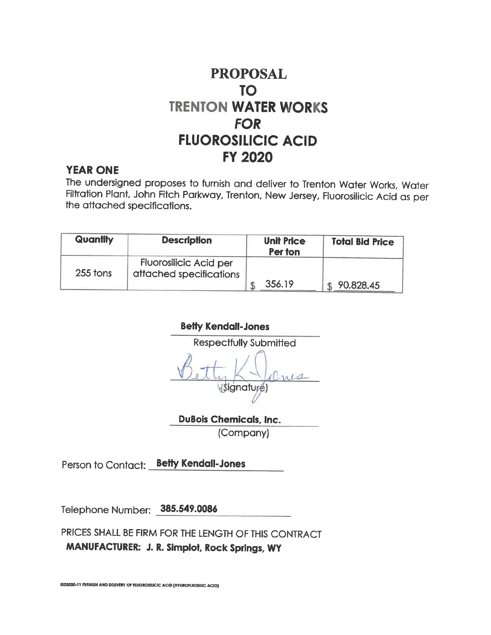#### **YEAR ONE**

The undersigned proposes to furnish and deliver to Trenton Water Works, Water Filtration Plant, John Fitch Parkway, Trenton, New Jersey, Fluorosilicic Acid as per the attached specifications.

| Quantity | <b>Description</b>                                       | <b>Unit Price</b><br>Per ton | <b>Total Bid Price</b> |
|----------|----------------------------------------------------------|------------------------------|------------------------|
| 255 tons | <b>Fluorosilicic Acid per</b><br>attached specifications |                              |                        |
|          |                                                          | 356.19                       | 90,828.45              |

**Betty Kendall-Jones Respectfully Submitted** (Signature)

**DuBois Chemicals, Inc.** (Company)

Person to Contact: **Betty Kendail-Jones** 

Telephone Number: 385.549.0086

PRICES SHALL BE FIRM FOR THE LENGTH OF THIS CONTRACT MANUFACTURER: J. R. Simplot, Rock Springs, WY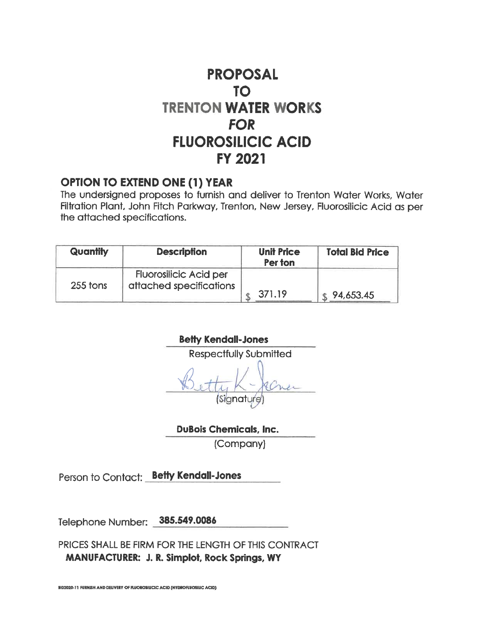#### **OPTION TO EXTEND ONE (1) YEAR**

The undersigned proposes to furnish and deliver to Trenton Water Works, Water Filtration Plant, John Fitch Parkway, Trenton, New Jersey, Fluorosilicic Acid as per the attached specifications.

| Quantity | <b>Description</b>                                       | <b>Unit Price</b><br>Per ton | <b>Total Bid Price</b> |
|----------|----------------------------------------------------------|------------------------------|------------------------|
| 255 tons | <b>Fluorosilicic Acid per</b><br>attached specifications |                              |                        |
|          |                                                          | 371.19                       | 94,653.45              |

**Betty Kendall-Jones** 

**Respectfully Submitted** Signatur

**DuBois Chemicals, Inc.** 

(Company)

Person to Contact: **Betty Kendall-Jones** 

Telephone Number: 385.549.0086

PRICES SHALL BE FIRM FOR THE LENGTH OF THIS CONTRACT MANUFACTURER: J. R. Simplot, Rock Springs, WY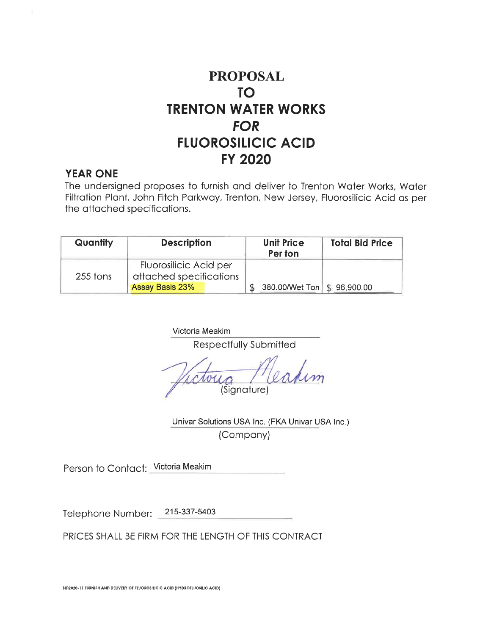#### **YEAR ONE**

The undersigned proposes to furnish and deliver to Trenton Water Works, Water Filtration Plant, John Fitch Parkway, Trenton, New Jersey, Fluorosilicic Acid as per the attached specifications.

| <b>Quantity</b> | <b>Description</b>                                | <b>Unit Price</b><br>Per ton  | <b>Total Bid Price</b> |
|-----------------|---------------------------------------------------|-------------------------------|------------------------|
| 255 tons        | Fluorosilicic Acid per<br>attached specifications |                               |                        |
|                 | Assay Basis 23%                                   | 380.00/Wet Ton   \$ 96,900.00 |                        |

Victoria Meakim

Respectfully Submitted

Sianature<sup>®</sup>

Univar Solutions USA Inc. (FKA Univar USA Inc.) (Company)

Person to Contact: Victoria Meakim

215-337-5403 Telephone Number: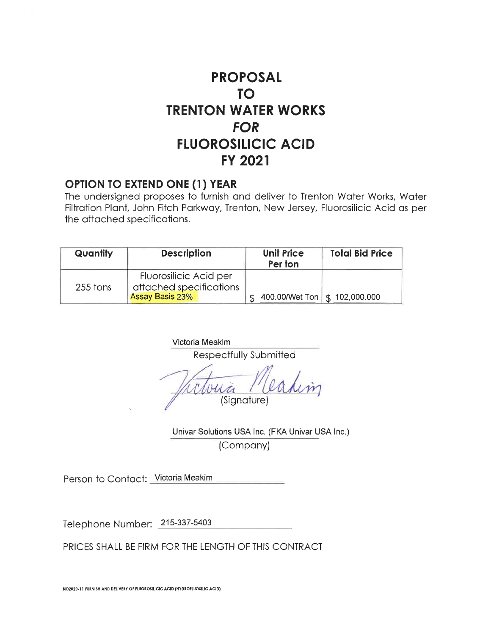#### **OPTION TO EXTEND ONE (1) YEAR**

The undersigned proposes to furnish and deliver to Trenton Water Works, Water Filtration Plant, John Fitch Parkway, Trenton, New Jersey, Fluorosilicic Acid as per the attached specifications.

| Quantity | <b>Description</b>                                                   | <b>Unit Price</b><br>Per ton | <b>Total Bid Price</b>          |
|----------|----------------------------------------------------------------------|------------------------------|---------------------------------|
| 255 tons | Fluorosilicic Acid per<br>attached specifications<br>Assay Basis 23% |                              | 400.00/Wet Ton   \$ 102,000.000 |

Victoria Meakim

Respectfully Submitted

(Signature)

Univar Solutions USA Inc. (FKA Univar USA Inc.) (Company)

Person to Contact: Victoria Meakim

Telephone Number: 215-337-5403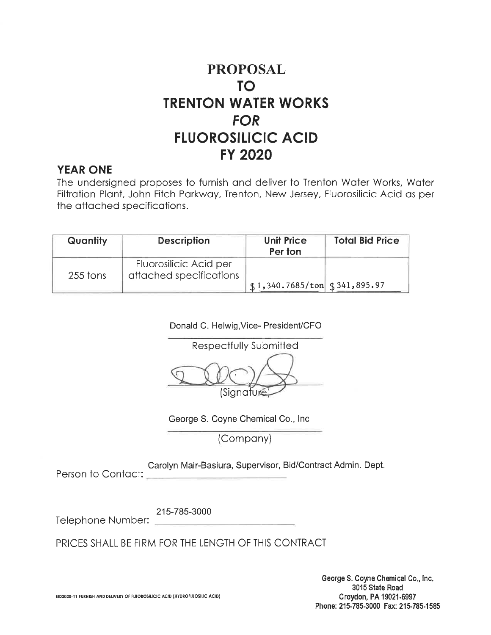#### **YEAR ONE**

The undersigned proposes to furnish and deliver to Trenton Water Works, Water Filtration Plant, John Fitch Parkway, Trenton, New Jersey, Fluorosilicic Acid as per the attached specifications.

| Quantity | <b>Description</b>                                | <b>Unit Price</b><br>Per ton                          | <b>Total Bid Price</b> |
|----------|---------------------------------------------------|-------------------------------------------------------|------------------------|
| 255 tons | Fluorosilicic Acid per<br>attached specifications |                                                       |                        |
|          |                                                   | $\frac{1}{3}$ 1,340.7685/ton $\frac{1}{3}$ 341,895.97 |                        |

Donald C. Helwig, Vice- President/CFO



George S. Coyne Chemical Co., Inc.

(Company)

Carolyn Mair-Basiura, Supervisor, Bid/Contract Admin. Dept.

Person to Contact:

215-785-3000 Telephone Number: \_